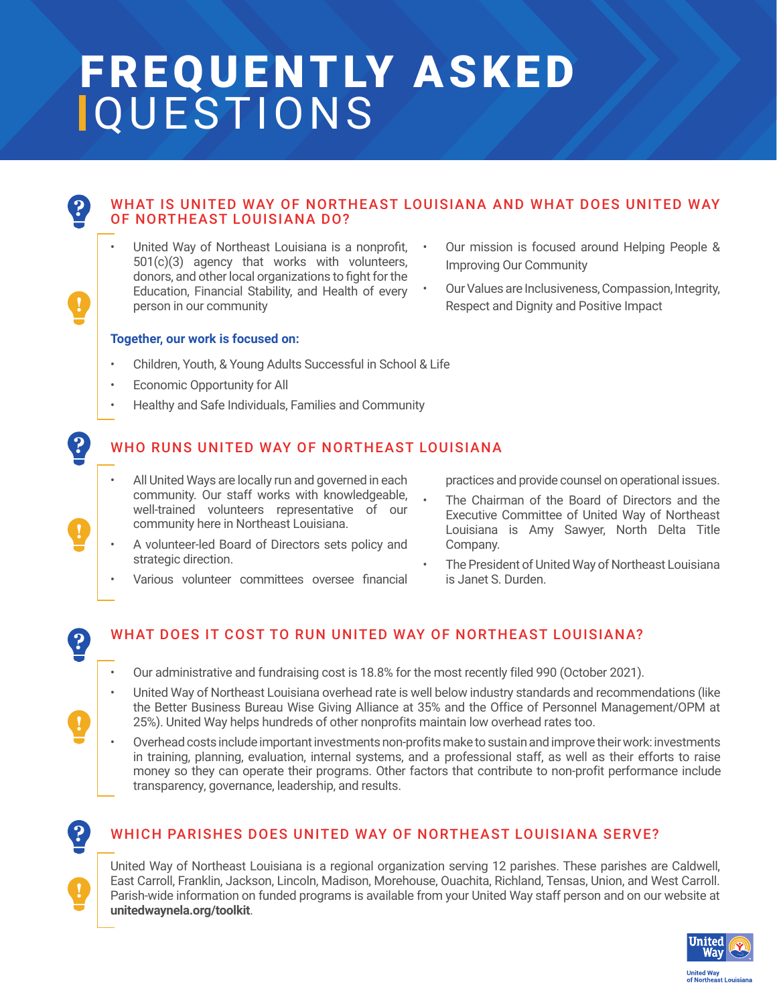# FREQUENTLY ASKED QUESTIONS

# WHAT IS UNITED WAY OF NORTHEAST LOUISIANA AND WHAT DOES UNITED WAY OF NORTHEAST LOUISIANA DO?

United Way of Northeast Louisiana is a nonprofit, 501(c)(3) agency that works with volunteers, donors, and other local organizations to fight for the Education, Financial Stability, and Health of every person in our community

#### **Together, our work is focused on:**

- Children, Youth, & Young Adults Successful in School & Life
- Economic Opportunity for All
- Healthy and Safe Individuals, Families and Community

# WHO RUNS UNITED WAY OF NORTHEAST LOUISIANA

- All United Ways are locally run and governed in each community. Our staff works with knowledgeable, well-trained volunteers representative of our community here in Northeast Louisiana.
- A volunteer-led Board of Directors sets policy and strategic direction.
- Various volunteer committees oversee financial
- Our mission is focused around Helping People & Improving Our Community
- Our Values are Inclusiveness, Compassion, Integrity, Respect and Dignity and Positive Impact

practices and provide counsel on operational issues.

- The Chairman of the Board of Directors and the Executive Committee of United Way of Northeast Louisiana is Amy Sawyer, North Delta Title Company.
- The President of United Way of Northeast Louisiana is Janet S. Durden.

# $\left| \boldsymbol{2} \right|$

 $\left| \bm{P} \right|$ 

# WHAT DOES IT COST TO RUN UNITED WAY OF NORTHEAST LOUISIANA?

- Our administrative and fundraising cost is 18.8% for the most recently filed 990 (October 2021).
- United Way of Northeast Louisiana overhead rate is well below industry standards and recommendations (like the Better Business Bureau Wise Giving Alliance at 35% and the Office of Personnel Management/OPM at 25%). United Way helps hundreds of other nonprofits maintain low overhead rates too.
- Overhead costs include important investments non-profits make to sustain and improve their work: investments in training, planning, evaluation, internal systems, and a professional staff, as well as their efforts to raise money so they can operate their programs. Other factors that contribute to non-profit performance include transparency, governance, leadership, and results.



#### WHICH PARISHES DOES UNITED WAY OF NORTHEAST LOUISIANA SERVE?

United Way of Northeast Louisiana is a regional organization serving 12 parishes. These parishes are Caldwell, East Carroll, Franklin, Jackson, Lincoln, Madison, Morehouse, Ouachita, Richland, Tensas, Union, and West Carroll. Parish-wide information on funded programs is available from your United Way staff person and on our website at **unitedwaynela.org/toolkit**.

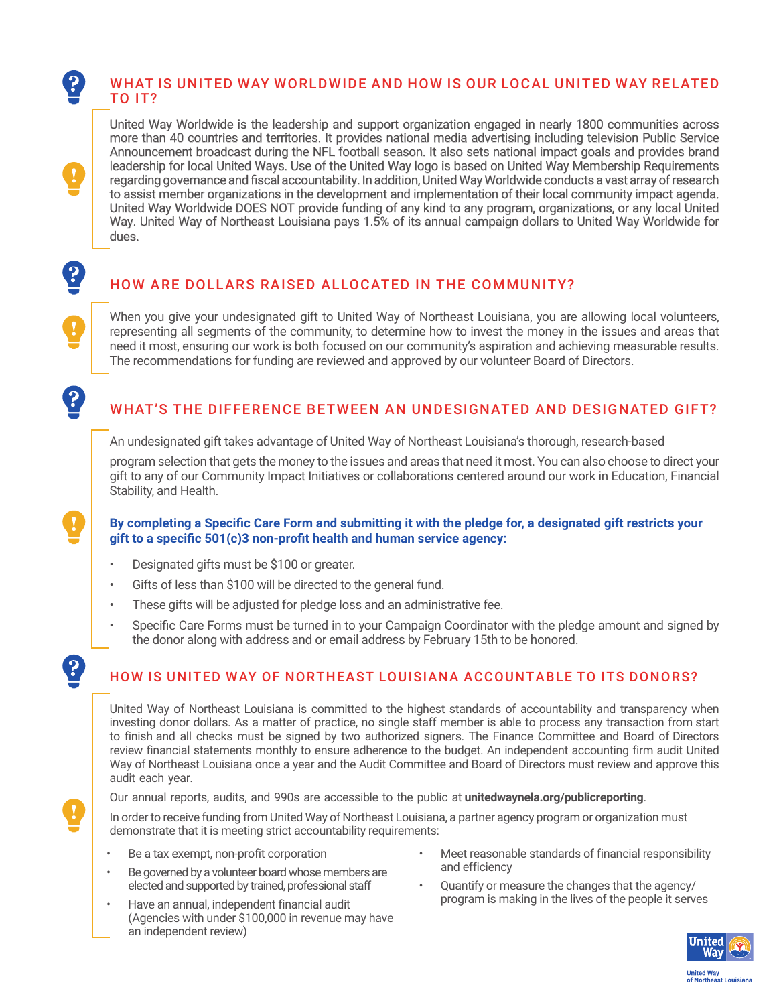#### WHAT IS UNITED WAY WORLDWIDE AND HOW IS OUR LOCAL UNITED WAY RELATED TO IT?

United Way Worldwide is the leadership and support organization engaged in nearly 1800 communities across more than 40 countries and territories. It provides national media advertising including television Public Service Announcement broadcast during the NFL football season. It also sets national impact goals and provides brand leadership for local United Ways. Use of the United Way logo is based on United Way Membership Requirements regarding governance and fiscal accountability. In addition, United Way Worldwide conducts a vast array of research to assist member organizations in the development and implementation of their local community impact agenda. United Way Worldwide DOES NOT provide funding of any kind to any program, organizations, or any local United Way. United Way of Northeast Louisiana pays 1.5% of its annual campaign dollars to United Way Worldwide for dues.

# HOW ARE DOLLARS RAISED ALLOCATED IN THE COMMUNITY?

When you give your undesignated gift to United Way of Northeast Louisiana, you are allowing local volunteers, representing all segments of the community, to determine how to invest the money in the issues and areas that need it most, ensuring our work is both focused on our community's aspiration and achieving measurable results. The recommendations for funding are reviewed and approved by our volunteer Board of Directors.

# WHAT'S THE DIFFERENCE BETWEEN AN UNDESIGNATED AND DESIGNATED GIFT?

An undesignated gift takes advantage of United Way of Northeast Louisiana's thorough, research-based

program selection that gets the money to the issues and areas that need it most. You can also choose to direct your gift to any of our Community Impact Initiatives or collaborations centered around our work in Education, Financial Stability, and Health.

#### **By completing a Specific Care Form and submitting it with the pledge for, a designated gift restricts your gift to a specific 501(c)3 non-profit health and human service agency:**

• Designated gifts must be \$100 or greater.

 $\left| \boldsymbol{P} \right|$ 

 $\ddot{\mathbf{?}}$ 

 $\ddot{\mathbf{?}}$ 

 $\mathbf{P}$ 

- Gifts of less than \$100 will be directed to the general fund.
- These gifts will be adjusted for pledge loss and an administrative fee.
- Specific Care Forms must be turned in to your Campaign Coordinator with the pledge amount and signed by the donor along with address and or email address by February 15th to be honored.

# HOW IS UNITED WAY OF NORTHEAST LOUISIANA ACCOUNTABLE TO ITS DONORS?

United Way of Northeast Louisiana is committed to the highest standards of accountability and transparency when investing donor dollars. As a matter of practice, no single staff member is able to process any transaction from start to finish and all checks must be signed by two authorized signers. The Finance Committee and Board of Directors review financial statements monthly to ensure adherence to the budget. An independent accounting firm audit United Way of Northeast Louisiana once a year and the Audit Committee and Board of Directors must review and approve this audit each year.

Our annual reports, audits, and 990s are accessible to the public at **unitedwaynela.org/publicreporting**.

In order to receive funding from United Way of Northeast Louisiana, a partner agency program or organization must demonstrate that it is meeting strict accountability requirements:

- Be a tax exempt, non-profit corporation
- Be governed by a volunteer board whose members are elected and supported by trained, professional staff
- Have an annual, independent financial audit (Agencies with under \$100,000 in revenue may have an independent review)
- Meet reasonable standards of financial responsibility and efficiency
- Quantify or measure the changes that the agency/ program is making in the lives of the people it serves

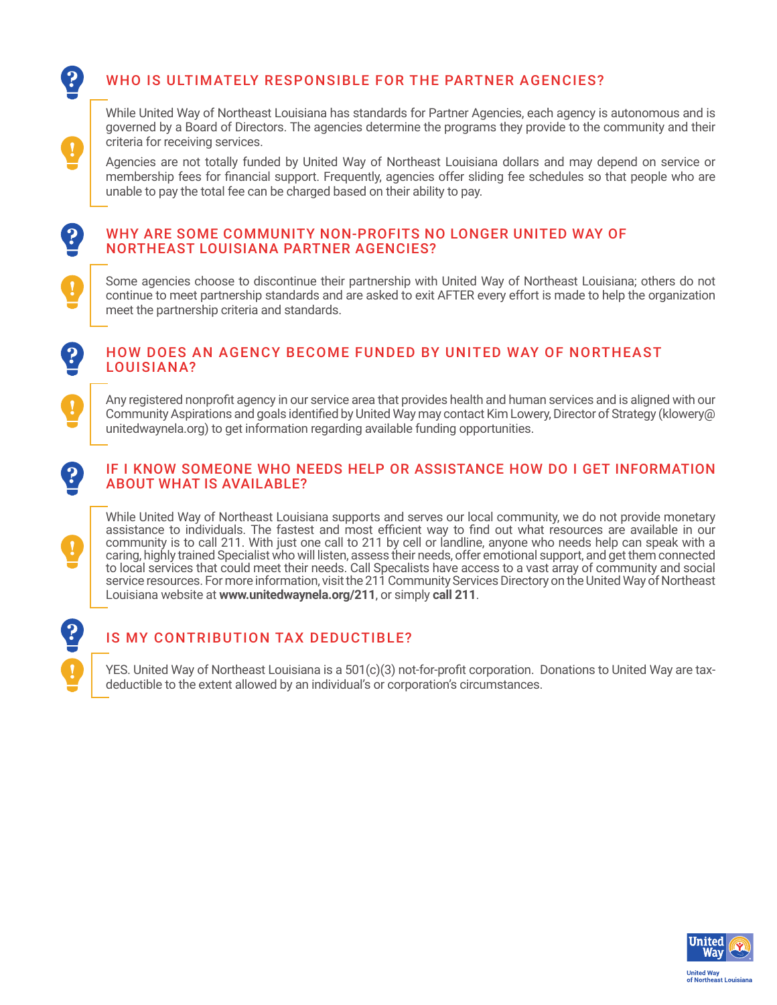# WHO IS ULTIMATELY RESPONSIBLE FOR THE PARTNER AGENCIES?

While United Way of Northeast Louisiana has standards for Partner Agencies, each agency is autonomous and is governed by a Board of Directors. The agencies determine the programs they provide to the community and their criteria for receiving services.

Agencies are not totally funded by United Way of Northeast Louisiana dollars and may depend on service or membership fees for financial support. Frequently, agencies offer sliding fee schedules so that people who are unable to pay the total fee can be charged based on their ability to pay.

#### WHY ARE SOME COMMUNITY NON-PROFITS NO LONGER UNITED WAY OF NORTHEAST LOUISIANA PARTNER AGENCIES?

Some agencies choose to discontinue their partnership with United Way of Northeast Louisiana; others do not continue to meet partnership standards and are asked to exit AFTER every effort is made to help the organization meet the partnership criteria and standards.

### HOW DOES AN AGENCY BECOME FUNDED BY UNITED WAY OF NORTHEAST LOUISIANA?

Any registered nonprofit agency in our service area that provides health and human services and is aligned with our Community Aspirations and goals identified by United Way may contact Kim Lowery, Director of Strategy (klowery@ unitedwaynela.org) to get information regarding available funding opportunities.

#### IF I KNOW SOMEONE WHO NEEDS HELP OR ASSISTANCE HOW DO I GET INFORMATION ABOUT WHAT IS AVAILABLE?

While United Way of Northeast Louisiana supports and serves our local community, we do not provide monetary assistance to individuals. The fastest and most efficient way to find out what resources are available in our community is to call 211. With just one call to 211 by cell or landline, anyone who needs help can speak with a caring, highly trained Specialist who will listen, assess their needs, offer emotional support, and get them connected to local services that could meet their needs. Call Specalists have access to a vast array of community and social service resources. For more information, visit the 211 Community Services Directory on the United Way of Northeast Louisiana website at **www.unitedwaynela.org/211**, or simply **call 211**.



 $\mathbf{P}$ 

 $\left| \mathbf{2} \right|$ 

# IS MY CONTRIBUTION TAX DEDUCTIBLE?

YES. United Way of Northeast Louisiana is a 501(c)(3) not-for-profit corporation. Donations to United Way are taxdeductible to the extent allowed by an individual's or corporation's circumstances.